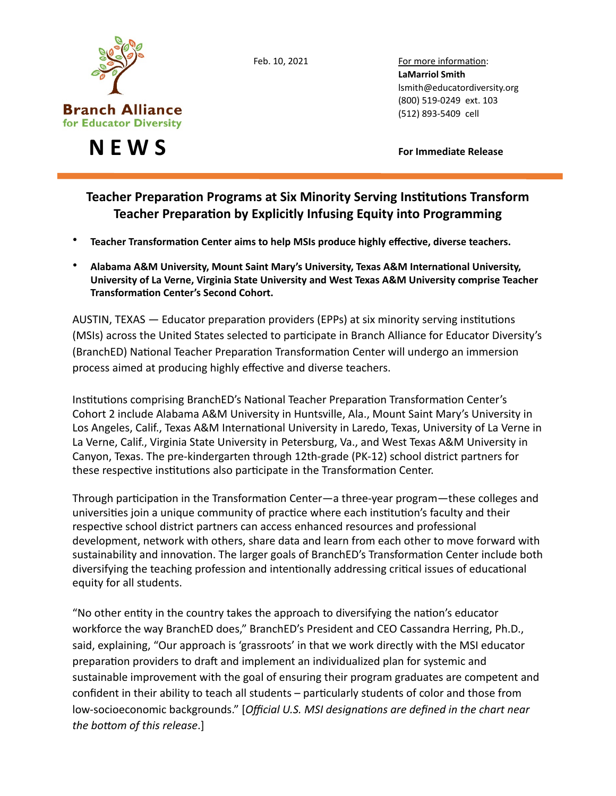

Feb. 10, 2021 For more information: LaMarriol Smith lsmith@educatordiversity.org 

**N E W S CONS** 

## **Teacher Preparation Programs at Six Minority Serving Institutions Transform Teacher Preparation by Explicitly Infusing Equity into Programming**

- Teacher Transformation Center aims to help MSIs produce highly effective, diverse teachers.
- Alabama A&M University, Mount Saint Mary's University, Texas A&M International University, University of La Verne, Virginia State University and West Texas A&M University comprise Teacher **Transformation Center's Second Cohort.**

AUSTIN, TEXAS  $-$  Educator preparation providers (EPPs) at six minority serving institutions (MSIs) across the United States selected to participate in Branch Alliance for Educator Diversity's (BranchED) Na1onal Teacher Prepara1on Transforma1on Center will undergo an immersion process aimed at producing highly effective and diverse teachers.

Institutions comprising BranchED's National Teacher Preparation Transformation Center's Cohort 2 include Alabama A&M University in Huntsville, Ala., Mount Saint Mary's University in Los Angeles, Calif., Texas A&M International University in Laredo, Texas, University of La Verne in La Verne, Calif., Virginia State University in Petersburg, Va., and West Texas A&M University in Canyon, Texas. The pre-kindergarten through 12th-grade (PK-12) school district partners for these respective institutions also participate in the Transformation Center.

Through participation in the Transformation Center—a three-year program—these colleges and universities join a unique community of practice where each institution's faculty and their respective school district partners can access enhanced resources and professional development, network with others, share data and learn from each other to move forward with sustainability and innovation. The larger goals of BranchED's Transformation Center include both diversifying the teaching profession and intentionally addressing critical issues of educational equity for all students.

"No other entity in the country takes the approach to diversifying the nation's educator workforce the way BranchED does," BranchED's President and CEO Cassandra Herring, Ph.D., said, explaining, "Our approach is 'grassroots' in that we work directly with the MSI educator preparation providers to draft and implement an individualized plan for systemic and sustainable improvement with the goal of ensuring their program graduates are competent and confident in their ability to teach all students – particularly students of color and those from low-socioeconomic backgrounds." [Official U.S. MSI designations are defined in the chart near *the bottom of this release.*]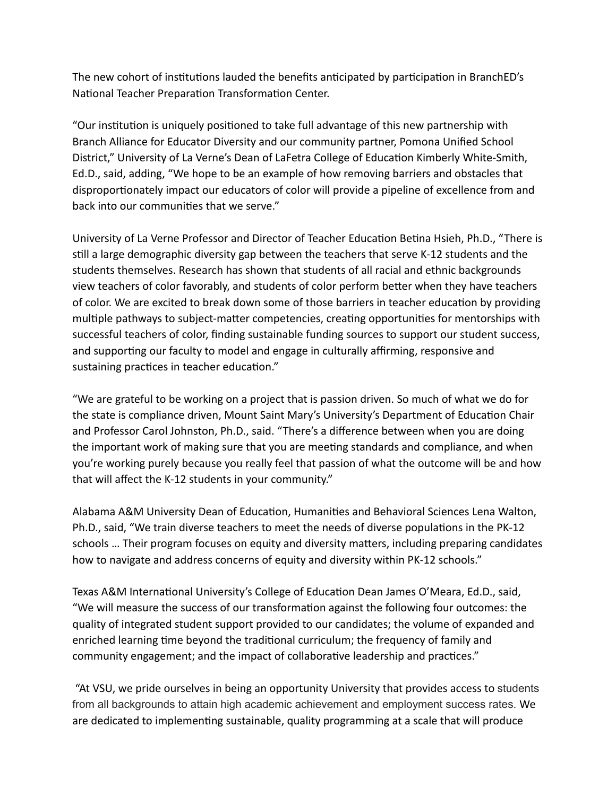The new cohort of institutions lauded the benefits anticipated by participation in BranchED's National Teacher Preparation Transformation Center.

"Our institution is uniquely positioned to take full advantage of this new partnership with Branch Alliance for Educator Diversity and our community partner, Pomona Unified School District," University of La Verne's Dean of LaFetra College of Education Kimberly White-Smith, Ed.D., said, adding, "We hope to be an example of how removing barriers and obstacles that disproportionately impact our educators of color will provide a pipeline of excellence from and back into our communities that we serve."

University of La Verne Professor and Director of Teacher Education Betina Hsieh, Ph.D., "There is still a large demographic diversity gap between the teachers that serve K-12 students and the students themselves. Research has shown that students of all racial and ethnic backgrounds view teachers of color favorably, and students of color perform better when they have teachers of color. We are excited to break down some of those barriers in teacher education by providing multiple pathways to subject-matter competencies, creating opportunities for mentorships with successful teachers of color, finding sustainable funding sources to support our student success, and supporting our faculty to model and engage in culturally affirming, responsive and sustaining practices in teacher education."

"We are grateful to be working on a project that is passion driven. So much of what we do for the state is compliance driven, Mount Saint Mary's University's Department of Education Chair and Professor Carol Johnston, Ph.D., said. "There's a difference between when you are doing the important work of making sure that you are meeting standards and compliance, and when you're working purely because you really feel that passion of what the outcome will be and how that will affect the K-12 students in your community."

Alabama A&M University Dean of Education, Humanities and Behavioral Sciences Lena Walton, Ph.D., said, "We train diverse teachers to meet the needs of diverse populations in the PK-12 schools ... Their program focuses on equity and diversity matters, including preparing candidates how to navigate and address concerns of equity and diversity within PK-12 schools."

Texas A&M International University's College of Education Dean James O'Meara, Ed.D., said, "We will measure the success of our transformation against the following four outcomes: the quality of integrated student support provided to our candidates; the volume of expanded and enriched learning time beyond the traditional curriculum; the frequency of family and community engagement; and the impact of collaborative leadership and practices."

"At VSU, we pride ourselves in being an opportunity University that provides access to students from all backgrounds to attain high academic achievement and employment success rates. We are dedicated to implementing sustainable, quality programming at a scale that will produce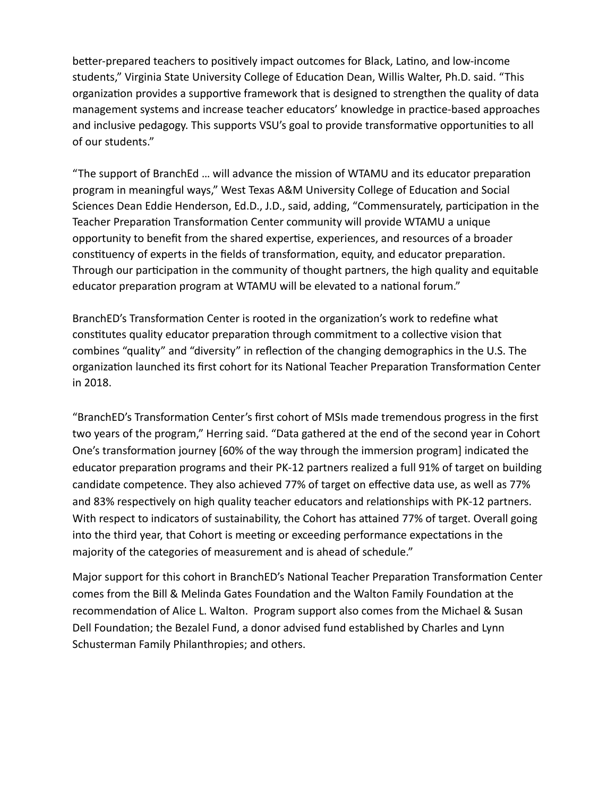better-prepared teachers to positively impact outcomes for Black, Latino, and low-income students," Virginia State University College of Education Dean, Willis Walter, Ph.D. said. "This organization provides a supportive framework that is designed to strengthen the quality of data management systems and increase teacher educators' knowledge in practice-based approaches and inclusive pedagogy. This supports VSU's goal to provide transformative opportunities to all of our students."

"The support of BranchEd ... will advance the mission of WTAMU and its educator preparation program in meaningful ways," West Texas A&M University College of Education and Social Sciences Dean Eddie Henderson, Ed.D., J.D., said, adding, "Commensurately, participation in the Teacher Preparation Transformation Center community will provide WTAMU a unique opportunity to benefit from the shared expertise, experiences, and resources of a broader constituency of experts in the fields of transformation, equity, and educator preparation. Through our participation in the community of thought partners, the high quality and equitable educator preparation program at WTAMU will be elevated to a national forum."

BranchED's Transformation Center is rooted in the organization's work to redefine what constitutes quality educator preparation through commitment to a collective vision that combines "quality" and "diversity" in reflection of the changing demographics in the U.S. The organization launched its first cohort for its National Teacher Preparation Transformation Center in 2018. 

"BranchED's Transformation Center's first cohort of MSIs made tremendous progress in the first two years of the program," Herring said. "Data gathered at the end of the second year in Cohort One's transformation journey [60% of the way through the immersion program] indicated the educator preparation programs and their PK-12 partners realized a full 91% of target on building candidate competence. They also achieved 77% of target on effective data use, as well as 77% and 83% respectively on high quality teacher educators and relationships with PK-12 partners. With respect to indicators of sustainability, the Cohort has attained 77% of target. Overall going into the third year, that Cohort is meeting or exceeding performance expectations in the majority of the categories of measurement and is ahead of schedule."

Major support for this cohort in BranchED's National Teacher Preparation Transformation Center comes from the Bill & Melinda Gates Foundation and the Walton Family Foundation at the recommendation of Alice L. Walton. Program support also comes from the Michael & Susan Dell Foundation; the Bezalel Fund, a donor advised fund established by Charles and Lynn Schusterman Family Philanthropies; and others.